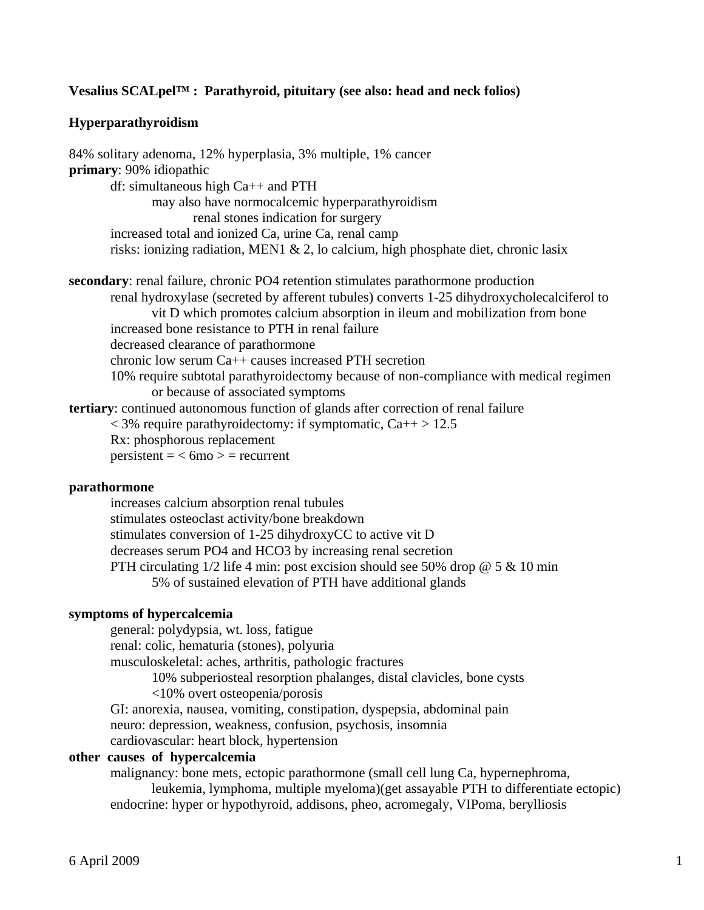# **Vesalius SCALpel™ : Parathyroid, pituitary (see also: head and neck folios)**

# **Hyperparathyroidism**

84% solitary adenoma, 12% hyperplasia, 3% multiple, 1% cancer **primary**: 90% idiopathic df: simultaneous high Ca++ and PTH may also have normocalcemic hyperparathyroidism renal stones indication for surgery increased total and ionized Ca, urine Ca, renal camp risks: ionizing radiation, MEN1 & 2, lo calcium, high phosphate diet, chronic lasix **secondary**: renal failure, chronic PO4 retention stimulates parathormone production renal hydroxylase (secreted by afferent tubules) converts 1-25 dihydroxycholecalciferol to vit D which promotes calcium absorption in ileum and mobilization from bone increased bone resistance to PTH in renal failure decreased clearance of parathormone chronic low serum Ca++ causes increased PTH secretion 10% require subtotal parathyroidectomy because of non-compliance with medical regimen or because of associated symptoms **tertiary**: continued autonomous function of glands after correction of renal failure  $<$  3% require parathyroidectomy: if symptomatic, Ca++ > 12.5 Rx: phosphorous replacement  $persistent = < 6mo$   $> = recurrent$ 

#### **parathormone**

 increases calcium absorption renal tubules stimulates osteoclast activity/bone breakdown stimulates conversion of 1-25 dihydroxyCC to active vit D decreases serum PO4 and HCO3 by increasing renal secretion PTH circulating  $1/2$  life 4 min: post excision should see 50% drop  $@$  5  $\&$  10 min 5% of sustained elevation of PTH have additional glands

# **symptoms of hypercalcemia**

 general: polydypsia, wt. loss, fatigue renal: colic, hematuria (stones), polyuria musculoskeletal: aches, arthritis, pathologic fractures 10% subperiosteal resorption phalanges, distal clavicles, bone cysts <10% overt osteopenia/porosis GI: anorexia, nausea, vomiting, constipation, dyspepsia, abdominal pain neuro: depression, weakness, confusion, psychosis, insomnia cardiovascular: heart block, hypertension

# **other causes of hypercalcemia**

 malignancy: bone mets, ectopic parathormone (small cell lung Ca, hypernephroma, leukemia, lymphoma, multiple myeloma)(get assayable PTH to differentiate ectopic) endocrine: hyper or hypothyroid, addisons, pheo, acromegaly, VIPoma, berylliosis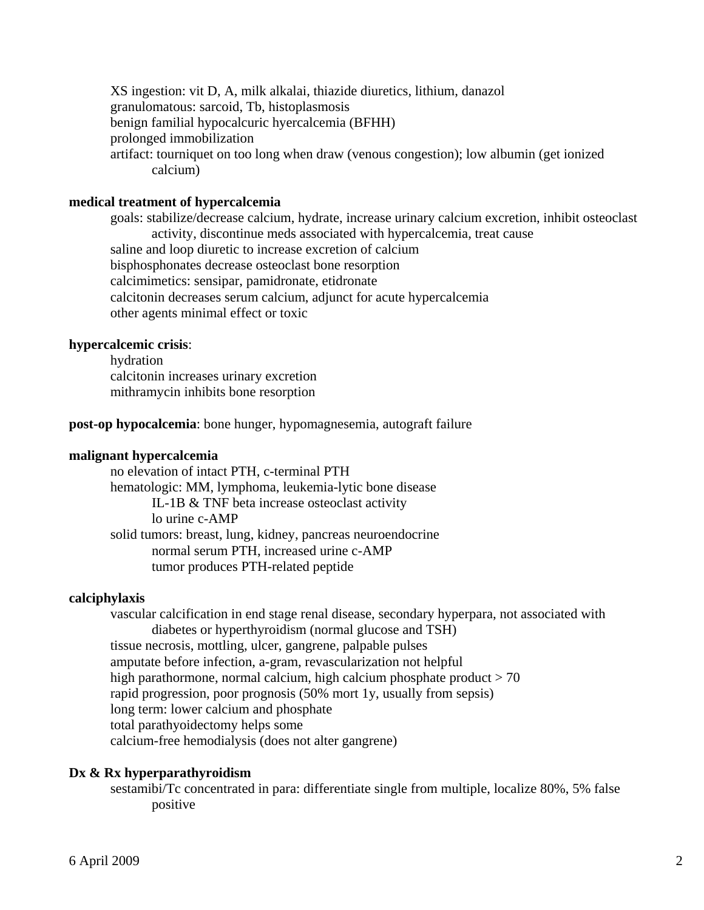XS ingestion: vit D, A, milk alkalai, thiazide diuretics, lithium, danazol granulomatous: sarcoid, Tb, histoplasmosis benign familial hypocalcuric hyercalcemia (BFHH) prolonged immobilization artifact: tourniquet on too long when draw (venous congestion); low albumin (get ionized calcium)

## **medical treatment of hypercalcemia**

goals: stabilize/decrease calcium, hydrate, increase urinary calcium excretion, inhibit osteoclast activity, discontinue meds associated with hypercalcemia, treat cause saline and loop diuretic to increase excretion of calcium bisphosphonates decrease osteoclast bone resorption calcimimetics: sensipar, pamidronate, etidronate calcitonin decreases serum calcium, adjunct for acute hypercalcemia other agents minimal effect or toxic

#### **hypercalcemic crisis**:

 hydration calcitonin increases urinary excretion mithramycin inhibits bone resorption

## **post-op hypocalcemia**: bone hunger, hypomagnesemia, autograft failure

#### **malignant hypercalcemia**

 no elevation of intact PTH, c-terminal PTH hematologic: MM, lymphoma, leukemia-lytic bone disease IL-1B & TNF beta increase osteoclast activity lo urine c-AMP solid tumors: breast, lung, kidney, pancreas neuroendocrine normal serum PTH, increased urine c-AMP tumor produces PTH-related peptide

#### **calciphylaxis**

 vascular calcification in end stage renal disease, secondary hyperpara, not associated with diabetes or hyperthyroidism (normal glucose and TSH) tissue necrosis, mottling, ulcer, gangrene, palpable pulses amputate before infection, a-gram, revascularization not helpful high parathormone, normal calcium, high calcium phosphate product  $> 70$  rapid progression, poor prognosis (50% mort 1y, usually from sepsis) long term: lower calcium and phosphate total parathyoidectomy helps some calcium-free hemodialysis (does not alter gangrene)

## **Dx & Rx hyperparathyroidism**

 sestamibi/Tc concentrated in para: differentiate single from multiple, localize 80%, 5% false positive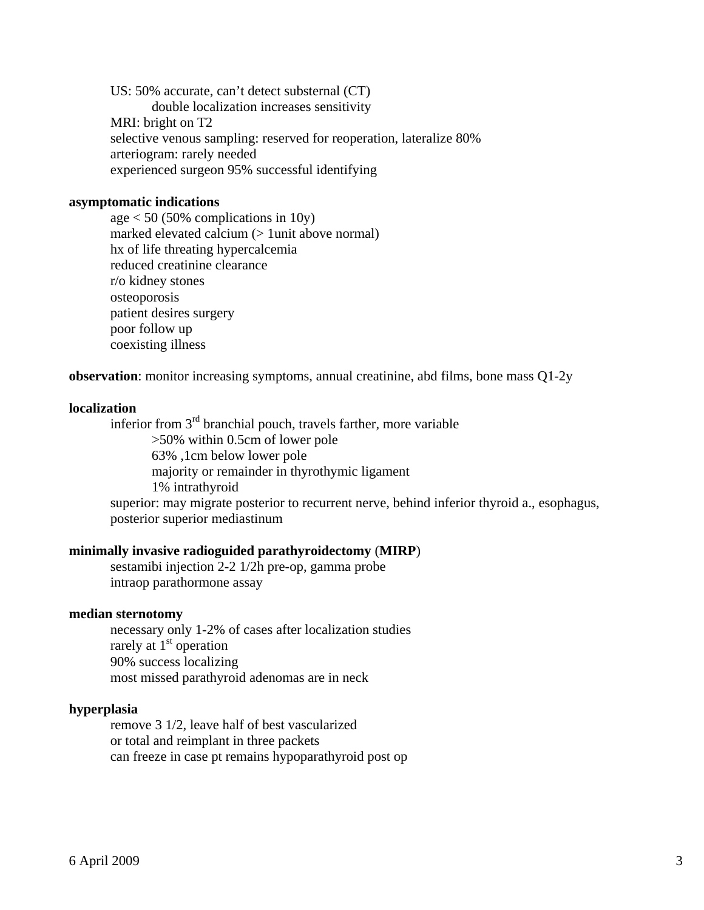US: 50% accurate, can't detect substernal (CT) double localization increases sensitivity MRI: bright on T2 selective venous sampling: reserved for reoperation, lateralize 80% arteriogram: rarely needed experienced surgeon 95% successful identifying

## **asymptomatic indications**

age  $< 50$  (50% complications in 10y) marked elevated calcium (> 1unit above normal) hx of life threating hypercalcemia reduced creatinine clearance r/o kidney stones osteoporosis patient desires surgery poor follow up coexisting illness

**observation**: monitor increasing symptoms, annual creatinine, abd films, bone mass Q1-2y

#### **localization**

 inferior from 3rd branchial pouch, travels farther, more variable >50% within 0.5cm of lower pole 63% ,1cm below lower pole majority or remainder in thyrothymic ligament 1% intrathyroid superior: may migrate posterior to recurrent nerve, behind inferior thyroid a., esophagus, posterior superior mediastinum

#### **minimally invasive radioguided parathyroidectomy** (**MIRP**)

 sestamibi injection 2-2 1/2h pre-op, gamma probe intraop parathormone assay

#### **median sternotomy**

 necessary only 1-2% of cases after localization studies rarely at 1<sup>st</sup> operation 90% success localizing most missed parathyroid adenomas are in neck

## **hyperplasia**

 remove 3 1/2, leave half of best vascularized or total and reimplant in three packets can freeze in case pt remains hypoparathyroid post op